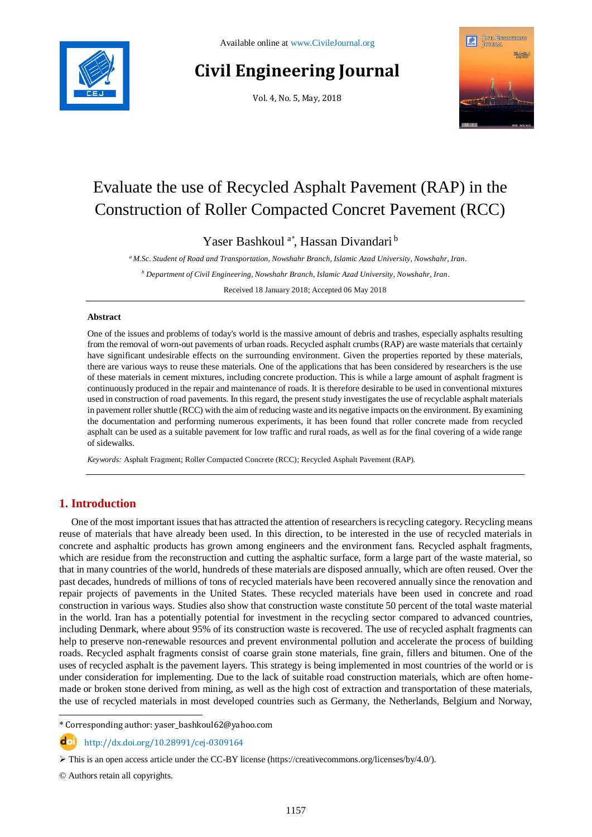

# **Civil Engineering Journal**

Vol. 4, No. 5, May, 2018



# Evaluate the use of Recycled Asphalt Pavement (RAP) in the Construction of Roller Compacted Concret Pavement (RCC)

Yaser Bashkoul<sup>a\*</sup>, Hassan Divandari<sup>b</sup>

*<sup>a</sup> M.Sc. Student of Road and Transportation, Nowshahr Branch, Islamic Azad University, Nowshahr, Iran.*

*<sup>b</sup> Department of Civil Engineering, Nowshahr Branch, Islamic Azad University, Nowshahr, Iran.*

Received 18 January 2018; Accepted 06 May 2018

## **Abstract**

One of the issues and problems of today's world is the massive amount of debris and trashes, especially asphalts resulting from the removal of worn-out pavements of urban roads. Recycled asphalt crumbs (RAP) are waste materials that certainly have significant undesirable effects on the surrounding environment. Given the properties reported by these materials, there are various ways to reuse these materials. One of the applications that has been considered by researchers is the use of these materials in cement mixtures, including concrete production. This is while a large amount of asphalt fragment is continuously produced in the repair and maintenance of roads. It is therefore desirable to be used in conventional mixtures used in construction of road pavements. In this regard, the present study investigates the use of recyclable asphalt materials in pavement roller shuttle (RCC) with the aim of reducing waste and its negative impacts on the environment. By examining the documentation and performing numerous experiments, it has been found that roller concrete made from recycled asphalt can be used as a suitable pavement for low traffic and rural roads, as well as for the final covering of a wide range of sidewalks.

*Keywords:* Asphalt Fragment; Roller Compacted Concrete (RCC); Recycled Asphalt Pavement (RAP).

# **1. Introduction**

One of the most important issues that has attracted the attention of researchers is recycling category. Recycling means reuse of materials that have already been used. In this direction, to be interested in the use of recycled materials in concrete and asphaltic products has grown among engineers and the environment fans. Recycled asphalt fragments, which are residue from the reconstruction and cutting the asphaltic surface, form a large part of the waste material, so that in many countries of the world, hundreds of these materials are disposed annually, which are often reused. Over the past decades, hundreds of millions of tons of recycled materials have been recovered annually since the renovation and repair projects of pavements in the United States. These recycled materials have been used in concrete and road construction in various ways. Studies also show that construction waste constitute 50 percent of the total waste material in the world. Iran has a potentially potential for investment in the recycling sector compared to advanced countries, including Denmark, where about 95% of its construction waste is recovered. The use of recycled asphalt fragments can help to preserve non-renewable resources and prevent environmental pollution and accelerate the process of building roads. Recycled asphalt fragments consist of coarse grain stone materials, fine grain, fillers and bitumen. One of the uses of recycled asphalt is the pavement layers. This strategy is being implemented in most countries of the world or is under consideration for implementing. Due to the lack of suitable road construction materials, which are often homemade or broken stone derived from mining, as well as the high cost of extraction and transportation of these materials, the use of recycled materials in most developed countries such as Germany, the Netherlands, Belgium and Norway,

\* Corresponding author: yaser\_bashkoul62@yahoo.com

http://dx.doi.org/10.28991/cej-0309164

 $\triangleright$  This is an open access article under the CC-BY license [\(https://creativecommons.org/licenses/by/4.0/\)](https://creativecommons.org/licenses/by/4.0/).

© Authors retain all copyrights.

l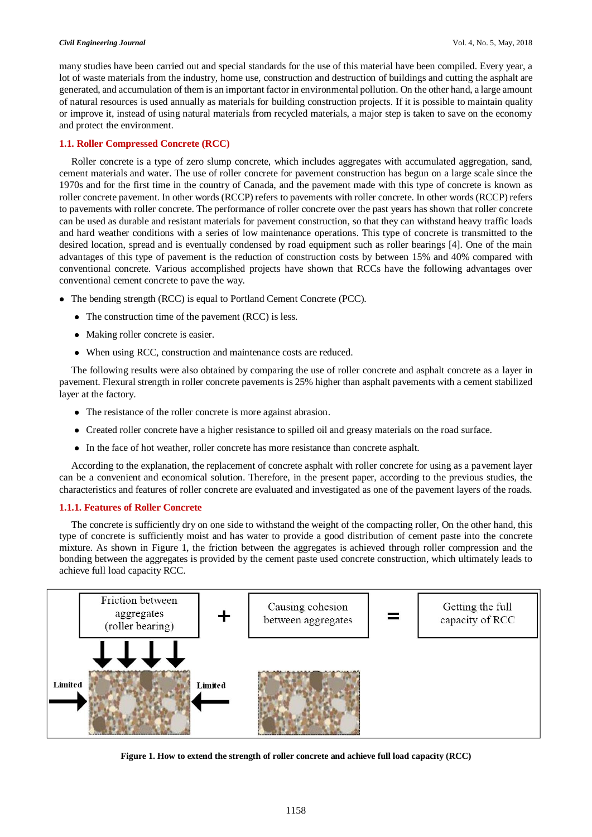#### *Civil Engineering Journal* Vol. 4, No. 5, May, 2018

many studies have been carried out and special standards for the use of this material have been compiled. Every year, a lot of waste materials from the industry, home use, construction and destruction of buildings and cutting the asphalt are generated, and accumulation of them is an important factor in environmental pollution. On the other hand, a large amount of natural resources is used annually as materials for building construction projects. If it is possible to maintain quality or improve it, instead of using natural materials from recycled materials, a major step is taken to save on the economy and protect the environment.

## **1.1. Roller Compressed Concrete (RCC)**

Roller concrete is a type of zero slump concrete, which includes aggregates with accumulated aggregation, sand, cement materials and water. The use of roller concrete for pavement construction has begun on a large scale since the 1970s and for the first time in the country of Canada, and the pavement made with this type of concrete is known as roller concrete pavement. In other words (RCCP) refers to pavements with roller concrete. In other words (RCCP) refers to pavements with roller concrete. The performance of roller concrete over the past years has shown that roller concrete can be used as durable and resistant materials for pavement construction, so that they can withstand heavy traffic loads and hard weather conditions with a series of low maintenance operations. This type of concrete is transmitted to the desired location, spread and is eventually condensed by road equipment such as roller bearings [4]. One of the main advantages of this type of pavement is the reduction of construction costs by between 15% and 40% compared with conventional concrete. Various accomplished projects have shown that RCCs have the following advantages over conventional cement concrete to pave the way.

- The bending strength (RCC) is equal to Portland Cement Concrete (PCC).
	- The construction time of the pavement (RCC) is less.
	- Making roller concrete is easier.
	- When using RCC, construction and maintenance costs are reduced.

The following results were also obtained by comparing the use of roller concrete and asphalt concrete as a layer in pavement. Flexural strength in roller concrete pavements is 25% higher than asphalt pavements with a cement stabilized layer at the factory.

- The resistance of the roller concrete is more against abrasion.
- Created roller concrete have a higher resistance to spilled oil and greasy materials on the road surface.
- In the face of hot weather, roller concrete has more resistance than concrete asphalt.

According to the explanation, the replacement of concrete asphalt with roller concrete for using as a pavement layer can be a convenient and economical solution. Therefore, in the present paper, according to the previous studies, the characteristics and features of roller concrete are evaluated and investigated as one of the pavement layers of the roads.

# **1.1.1. Features of Roller Concrete**

The concrete is sufficiently dry on one side to withstand the weight of the compacting roller, On the other hand, this type of concrete is sufficiently moist and has water to provide a good distribution of cement paste into the concrete mixture. As shown in Figure 1, the friction between the aggregates is achieved through roller compression and the bonding between the aggregates is provided by the cement paste used concrete construction, which ultimately leads to achieve full load capacity RCC.



**Figure 1. How to extend the strength of roller concrete and achieve full load capacity (RCC)**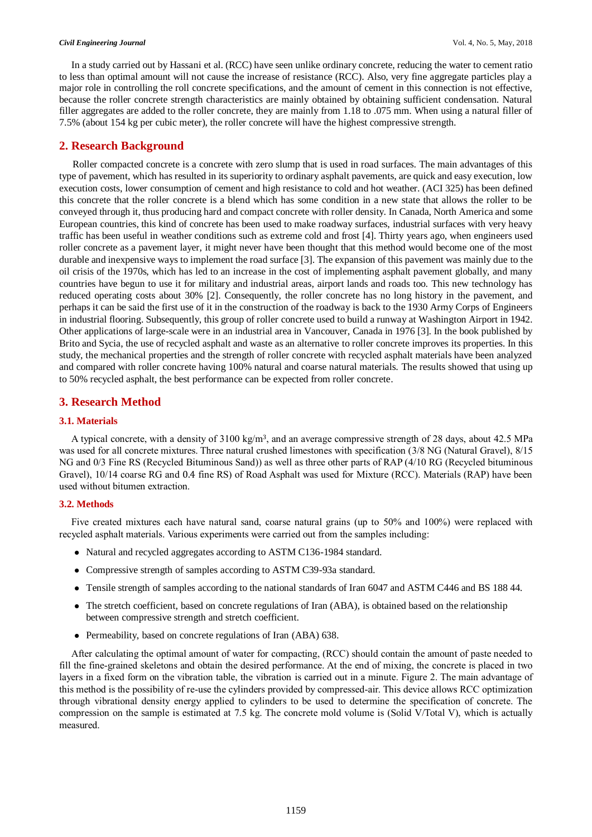In a study carried out by Hassani et al. (RCC) have seen unlike ordinary concrete, reducing the water to cement ratio to less than optimal amount will not cause the increase of resistance (RCC). Also, very fine aggregate particles play a major role in controlling the roll concrete specifications, and the amount of cement in this connection is not effective, because the roller concrete strength characteristics are mainly obtained by obtaining sufficient condensation. Natural filler aggregates are added to the roller concrete, they are mainly from 1.18 to .075 mm. When using a natural filler of 7.5% (about 154 kg per cubic meter), the roller concrete will have the highest compressive strength.

# **2. Research Background**

Roller compacted concrete is a concrete with zero slump that is used in road surfaces. The main advantages of this type of pavement, which has resulted in its superiority to ordinary asphalt pavements, are quick and easy execution, low execution costs, lower consumption of cement and high resistance to cold and hot weather. (ACI 325) has been defined this concrete that the roller concrete is a blend which has some condition in a new state that allows the roller to be conveyed through it, thus producing hard and compact concrete with roller density. In Canada, North America and some European countries, this kind of concrete has been used to make roadway surfaces, industrial surfaces with very heavy traffic has been useful in weather conditions such as extreme cold and frost [4]. Thirty years ago, when engineers used roller concrete as a pavement layer, it might never have been thought that this method would become one of the most durable and inexpensive ways to implement the road surface [3]. The expansion of this pavement was mainly due to the oil crisis of the 1970s, which has led to an increase in the cost of implementing asphalt pavement globally, and many countries have begun to use it for military and industrial areas, airport lands and roads too. This new technology has reduced operating costs about 30% [2]. Consequently, the roller concrete has no long history in the pavement, and perhaps it can be said the first use of it in the construction of the roadway is back to the 1930 Army Corps of Engineers in industrial flooring. Subsequently, this group of roller concrete used to build a runway at Washington Airport in 1942. Other applications of large-scale were in an industrial area in Vancouver, Canada in 1976 [3]. In the book published by Brito and Sycia, the use of recycled asphalt and waste as an alternative to roller concrete improves its properties. In this study, the mechanical properties and the strength of roller concrete with recycled asphalt materials have been analyzed and compared with roller concrete having 100% natural and coarse natural materials. The results showed that using up to 50% recycled asphalt, the best performance can be expected from roller concrete.

# **3. Research Method**

## **3.1. Materials**

A typical concrete, with a density of 3100 kg/m3, and an average compressive strength of 28 days, about 42.5 MPa was used for all concrete mixtures. Three natural crushed limestones with specification (3/8 NG (Natural Gravel), 8/15 NG and 0/3 Fine RS (Recycled Bituminous Sand)) as well as three other parts of RAP (4/10 RG (Recycled bituminous Gravel), 10/14 coarse RG and 0.4 fine RS) of Road Asphalt was used for Mixture (RCC). Materials (RAP) have been used without bitumen extraction.

## **3.2. Methods**

Five created mixtures each have natural sand, coarse natural grains (up to 50% and 100%) were replaced with recycled asphalt materials. Various experiments were carried out from the samples including:

- Natural and recycled aggregates according to ASTM C136-1984 standard.
- Compressive strength of samples according to ASTM C39-93a standard.
- Tensile strength of samples according to the national standards of Iran 6047 and ASTM C446 and BS 188 44.
- The stretch coefficient, based on concrete regulations of Iran (ABA), is obtained based on the relationship between compressive strength and stretch coefficient.
- Permeability, based on concrete regulations of Iran (ABA) 638.

After calculating the optimal amount of water for compacting, (RCC) should contain the amount of paste needed to fill the fine-grained skeletons and obtain the desired performance. At the end of mixing, the concrete is placed in two layers in a fixed form on the vibration table, the vibration is carried out in a minute. Figure 2. The main advantage of this method is the possibility of re-use the cylinders provided by compressed-air. This device allows RCC optimization through vibrational density energy applied to cylinders to be used to determine the specification of concrete. The compression on the sample is estimated at 7.5 kg. The concrete mold volume is (Solid V/Total V), which is actually measured.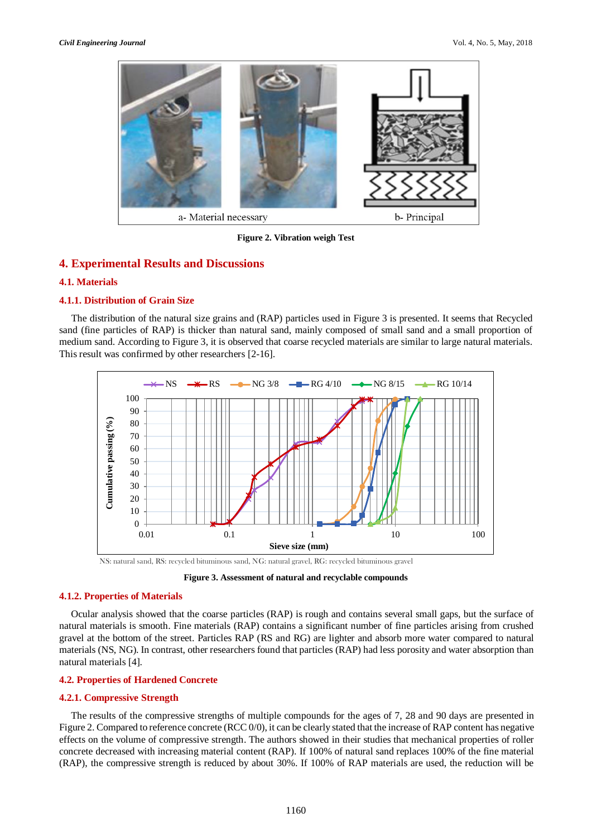

**Figure 2. Vibration weigh Test**

# **4. Experimental Results and Discussions**

## **4.1. Materials**

## **4.1.1. Distribution of Grain Size**

The distribution of the natural size grains and (RAP) particles used in Figure 3 is presented. It seems that Recycled sand (fine particles of RAP) is thicker than natural sand, mainly composed of small sand and a small proportion of medium sand. According to Figure 3, it is observed that coarse recycled materials are similar to large natural materials. This result was confirmed by other researchers [2-16].



NS: natural sand, RS: recycled bituminous sand, NG: natural gravel, RG: recycled bituminous gravel

**Figure 3. Assessment of natural and recyclable compounds**

## **4.1.2. Properties of Materials**

Ocular analysis showed that the coarse particles (RAP) is rough and contains several small gaps, but the surface of natural materials is smooth. Fine materials (RAP) contains a significant number of fine particles arising from crushed gravel at the bottom of the street. Particles RAP (RS and RG) are lighter and absorb more water compared to natural materials (NS, NG). In contrast, other researchers found that particles (RAP) had less porosity and water absorption than natural materials [4].

## **4.2. Properties of Hardened Concrete**

#### **4.2.1. Compressive Strength**

The results of the compressive strengths of multiple compounds for the ages of 7, 28 and 90 days are presented in Figure 2. Compared to reference concrete (RCC 0/0), it can be clearly stated that the increase of RAP content has negative effects on the volume of compressive strength. The authors showed in their studies that mechanical properties of roller concrete decreased with increasing material content (RAP). If 100% of natural sand replaces 100% of the fine material (RAP), the compressive strength is reduced by about 30%. If 100% of RAP materials are used, the reduction will be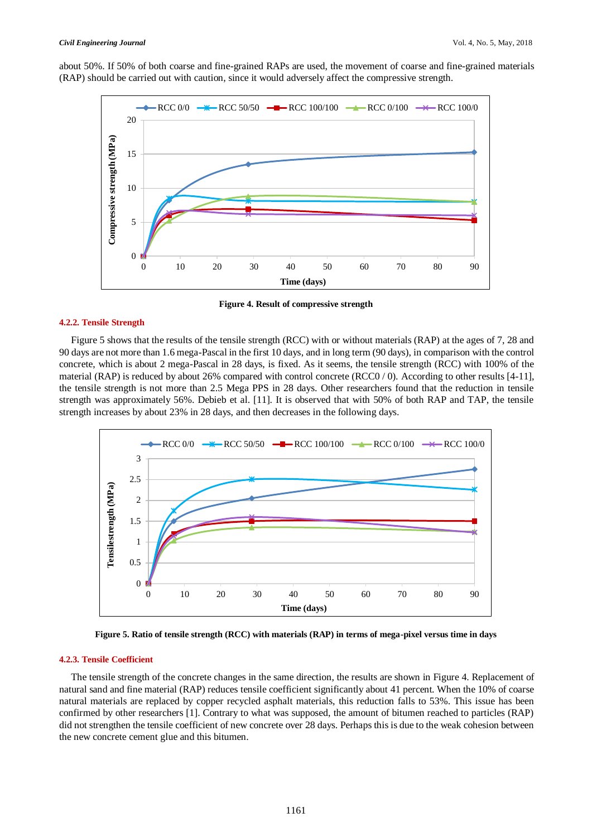about 50%. If 50% of both coarse and fine-grained RAPs are used, the movement of coarse and fine-grained materials (RAP) should be carried out with caution, since it would adversely affect the compressive strength.



**Figure 4. Result of compressive strength**

#### **4.2.2. Tensile Strength**

Figure 5 shows that the results of the tensile strength (RCC) with or without materials (RAP) at the ages of 7, 28 and 90 days are not more than 1.6 mega-Pascal in the first 10 days, and in long term (90 days), in comparison with the control concrete, which is about 2 mega-Pascal in 28 days, is fixed. As it seems, the tensile strength (RCC) with 100% of the material (RAP) is reduced by about 26% compared with control concrete ( $RCC0/0$ ). According to other results [4-11], the tensile strength is not more than 2.5 Mega PPS in 28 days. Other researchers found that the reduction in tensile strength was approximately 56%. Debieb et al. [11]. It is observed that with 50% of both RAP and TAP, the tensile strength increases by about 23% in 28 days, and then decreases in the following days.



**Figure 5. Ratio of tensile strength (RCC) with materials (RAP) in terms of mega-pixel versus time in days**

## **4.2.3. Tensile Coefficient**

The tensile strength of the concrete changes in the same direction, the results are shown in Figure 4. Replacement of natural sand and fine material (RAP) reduces tensile coefficient significantly about 41 percent. When the 10% of coarse natural materials are replaced by copper recycled asphalt materials, this reduction falls to 53%. This issue has been confirmed by other researchers [1]. Contrary to what was supposed, the amount of bitumen reached to particles (RAP) did not strengthen the tensile coefficient of new concrete over 28 days. Perhaps this is due to the weak cohesion between the new concrete cement glue and this bitumen.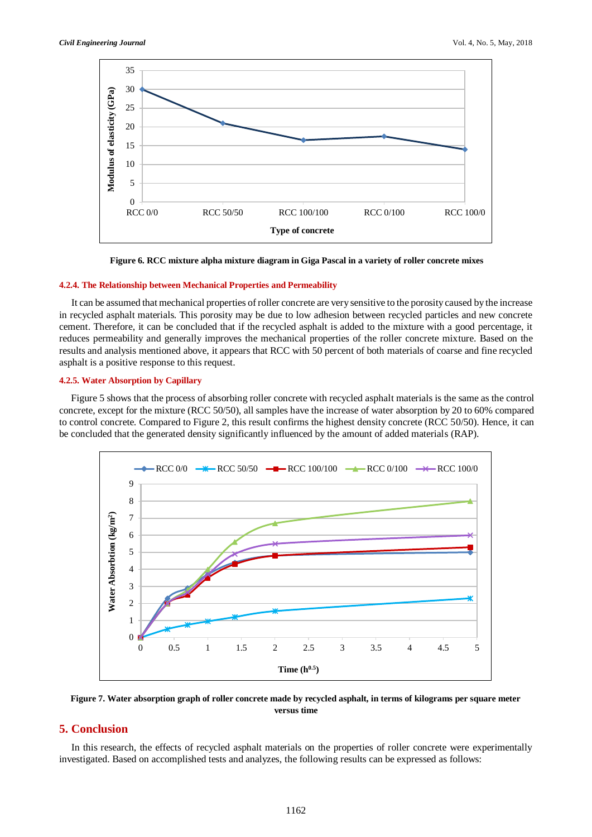

**Figure 6. RCC mixture alpha mixture diagram in Giga Pascal in a variety of roller concrete mixes**

#### **4.2.4. The Relationship between Mechanical Properties and Permeability**

It can be assumed that mechanical properties of roller concrete are very sensitive to the porosity caused by the increase in recycled asphalt materials. This porosity may be due to low adhesion between recycled particles and new concrete cement. Therefore, it can be concluded that if the recycled asphalt is added to the mixture with a good percentage, it reduces permeability and generally improves the mechanical properties of the roller concrete mixture. Based on the results and analysis mentioned above, it appears that RCC with 50 percent of both materials of coarse and fine recycled asphalt is a positive response to this request.

#### **4.2.5. Water Absorption by Capillary**

Figure 5 shows that the process of absorbing roller concrete with recycled asphalt materials is the same as the control concrete, except for the mixture (RCC 50/50), all samples have the increase of water absorption by 20 to 60% compared to control concrete. Compared to Figure 2, this result confirms the highest density concrete (RCC 50/50). Hence, it can be concluded that the generated density significantly influenced by the amount of added materials (RAP).



**Figure 7. Water absorption graph of roller concrete made by recycled asphalt, in terms of kilograms per square meter versus time**

# **5. Conclusion**

In this research, the effects of recycled asphalt materials on the properties of roller concrete were experimentally investigated. Based on accomplished tests and analyzes, the following results can be expressed as follows: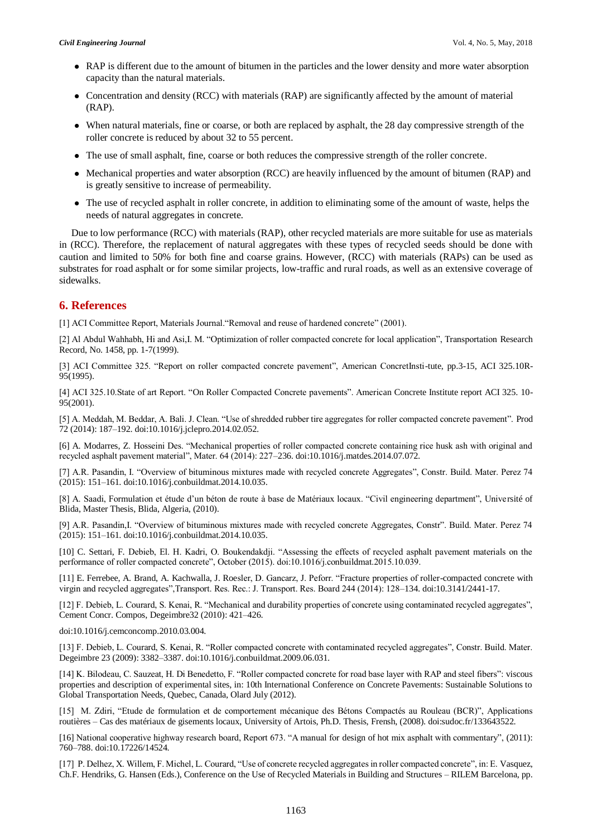- RAP is different due to the amount of bitumen in the particles and the lower density and more water absorption capacity than the natural materials.
- Concentration and density (RCC) with materials (RAP) are significantly affected by the amount of material (RAP).
- When natural materials, fine or coarse, or both are replaced by asphalt, the 28 day compressive strength of the roller concrete is reduced by about 32 to 55 percent.
- The use of small asphalt, fine, coarse or both reduces the compressive strength of the roller concrete.
- Mechanical properties and water absorption (RCC) are heavily influenced by the amount of bitumen (RAP) and is greatly sensitive to increase of permeability.
- The use of recycled asphalt in roller concrete, in addition to eliminating some of the amount of waste, helps the needs of natural aggregates in concrete.

Due to low performance (RCC) with materials (RAP), other recycled materials are more suitable for use as materials in (RCC). Therefore, the replacement of natural aggregates with these types of recycled seeds should be done with caution and limited to 50% for both fine and coarse grains. However, (RCC) with materials (RAPs) can be used as substrates for road asphalt or for some similar projects, low-traffic and rural roads, as well as an extensive coverage of sidewalks.

# **6. References**

[1] ACI Committee Report, Materials Journal."Removal and reuse of hardened concrete" (2001).

[2] Al Abdul Wahhabh, Hi and Asi,I. M. "Optimization of roller compacted concrete for local application", Transportation Research Record, No. 1458, pp. 1-7(1999).

[3] ACI Committee 325. "Report on roller compacted concrete pavement", American ConcretInsti-tute, pp.3-15, ACI 325.10R-95(1995).

[4] ACI 325.10.State of art Report. "On Roller Compacted Concrete pavements". American Concrete Institute report ACI 325. 10- 95(2001).

[5] A. Meddah, M. Beddar, A. Bali. J. Clean. "Use of shredded rubber tire aggregates for roller compacted concrete pavement". Prod 72 (2014): 187–192. doi:10.1016/j.jclepro.2014.02.052.

[6] A. Modarres, Z. Hosseini Des. "Mechanical properties of roller compacted concrete containing rice husk ash with original and recycled asphalt pavement material", Mater. 64 (2014): 227–236. doi:10.1016/j.matdes.2014.07.072.

[7] A.R. Pasandin, I. "Overview of bituminous mixtures made with recycled concrete Aggregates", Constr. Build. Mater. Perez 74 (2015): 151–161. doi:10.1016/j.conbuildmat.2014.10.035.

[8] A. Saadi, Formulation et étude d'un béton de route à base de Matériaux locaux. "Civil engineering department", Université of Blida, Master Thesis, Blida, Algeria, (2010).

[9] A.R. Pasandin,I. "Overview of bituminous mixtures made with recycled concrete Aggregates, Constr". Build. Mater. Perez 74 (2015): 151–161. doi:10.1016/j.conbuildmat.2014.10.035.

[10] C. Settari, F. Debieb, El. H. Kadri, O. Boukendakdji. "Assessing the effects of recycled asphalt pavement materials on the performance of roller compacted concrete", October (2015). doi:10.1016/j.conbuildmat.2015.10.039.

[11] E. Ferrebee, A. Brand, A. Kachwalla, J. Roesler, D. Gancarz, J. Peforr. "Fracture properties of roller-compacted concrete with virgin and recycled aggregates",Transport. Res. Rec.: J. Transport. Res. Board 244 (2014): 128–134. doi:10.3141/2441-17.

[12] F. Debieb, L. Courard, S. Kenai, R. "Mechanical and durability properties of concrete using contaminated recycled aggregates", Cement Concr. Compos, Degeimbre32 (2010): 421–426.

doi:10.1016/j.cemconcomp.2010.03.004.

[13] F. Debieb, L. Courard, S. Kenai, R. "Roller compacted concrete with contaminated recycled aggregates", Constr. Build. Mater. Degeimbre 23 (2009): 3382–3387. doi:10.1016/j.conbuildmat.2009.06.031.

[14] K. Bilodeau, C. Sauzeat, H. Di Benedetto, F. "Roller compacted concrete for road base layer with RAP and steel fibers": viscous properties and description of experimental sites, in: 10th International Conference on Concrete Pavements: Sustainable Solutions to Global Transportation Needs, Quebec, Canada, Olard July (2012).

[15] M. Zdiri, "Etude de formulation et de comportement mécanique des Bétons Compactés au Rouleau (BCR)", Applications routières – Cas des matériaux de gisements locaux, University of Artois, Ph.D. Thesis, Frensh, (2008). doi:sudoc.fr/133643522.

[16] National cooperative highway research board, Report 673. "A manual for design of hot mix asphalt with commentary", (2011): 760–788. doi:10.17226/14524.

[17] P. Delhez, X. Willem, F. Michel, L. Courard, "Use of concrete recycled aggregates in roller compacted concrete", in: E. Vasquez, Ch.F. Hendriks, G. Hansen (Eds.), Conference on the Use of Recycled Materials in Building and Structures – RILEM Barcelona, pp.